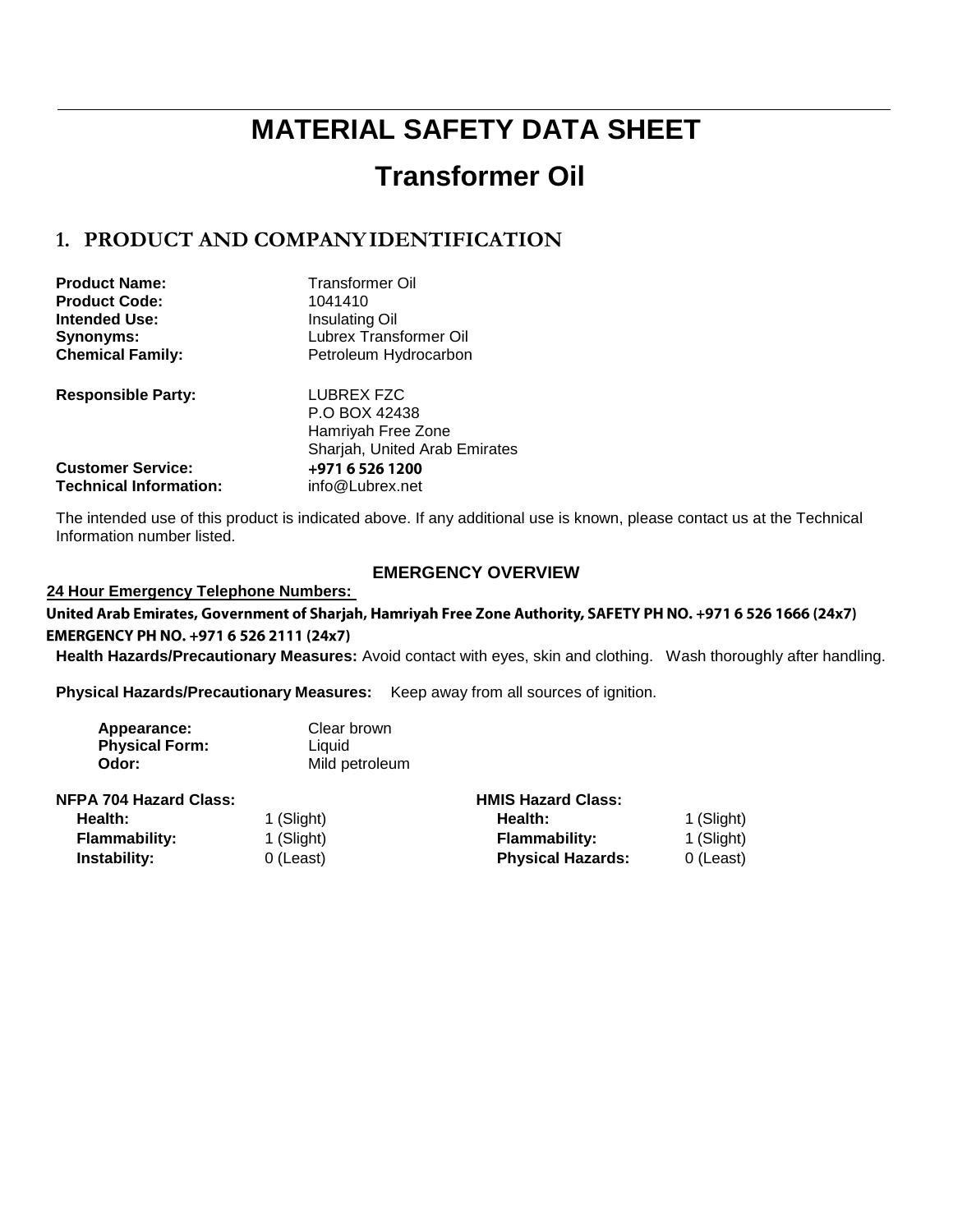# **MATERIAL SAFETY DATA SHEET**

# **Transformer Oil**

# **1. PRODUCT AND COMPANYIDENTIFICATION**

| <b>Product Name:</b>          | <b>Transformer Oil</b>        |
|-------------------------------|-------------------------------|
| <b>Product Code:</b>          | 1041410                       |
| <b>Intended Use:</b>          | Insulating Oil                |
| Synonyms:                     | Lubrex Transformer Oil        |
| <b>Chemical Family:</b>       | Petroleum Hydrocarbon         |
| <b>Responsible Party:</b>     | LUBREX FZC                    |
|                               | P.O BOX 42438                 |
|                               | Hamriyah Free Zone            |
|                               | Sharjah, United Arab Emirates |
| <b>Customer Service:</b>      | +971 6 526 1200               |
| <b>Technical Information:</b> | info@Lubrex.net               |

The intended use of this product is indicated above. If any additional use is known, please contact us at the Technical Information number listed.

### **EMERGENCY OVERVIEW**

#### **24 Hour Emergency Telephone Numbers:**

United Arab Emirates, Government of Sharjah, Hamriyah Free Zone Authority, SAFETY PH NO. +971 6 526 1666 (24x7) EMERGENCY PH NO. +971 6 526 2111 (24x7)

**Health Hazards/Precautionary Measures:** Avoid contact with eyes, skin and clothing. Wash thoroughly after handling.

**Physical Hazards/Precautionary Measures:** Keep away from all sources of ignition.

| Appearance:           | Clear brown    |
|-----------------------|----------------|
| <b>Physical Form:</b> | Liquid         |
| Odor:                 | Mild petroleum |

| <b>NFPA 704 Hazard Class:</b> |            | <b>HMIS Hazard Class:</b> |            |
|-------------------------------|------------|---------------------------|------------|
| Health:                       | 1 (Slight) | Health:                   | 1 (Slight) |
| <b>Flammability:</b>          | 1 (Slight) | <b>Flammability:</b>      | 1 (Slight) |
| Instability:                  | 0 (Least)  | <b>Physical Hazards:</b>  | 0 (Least)  |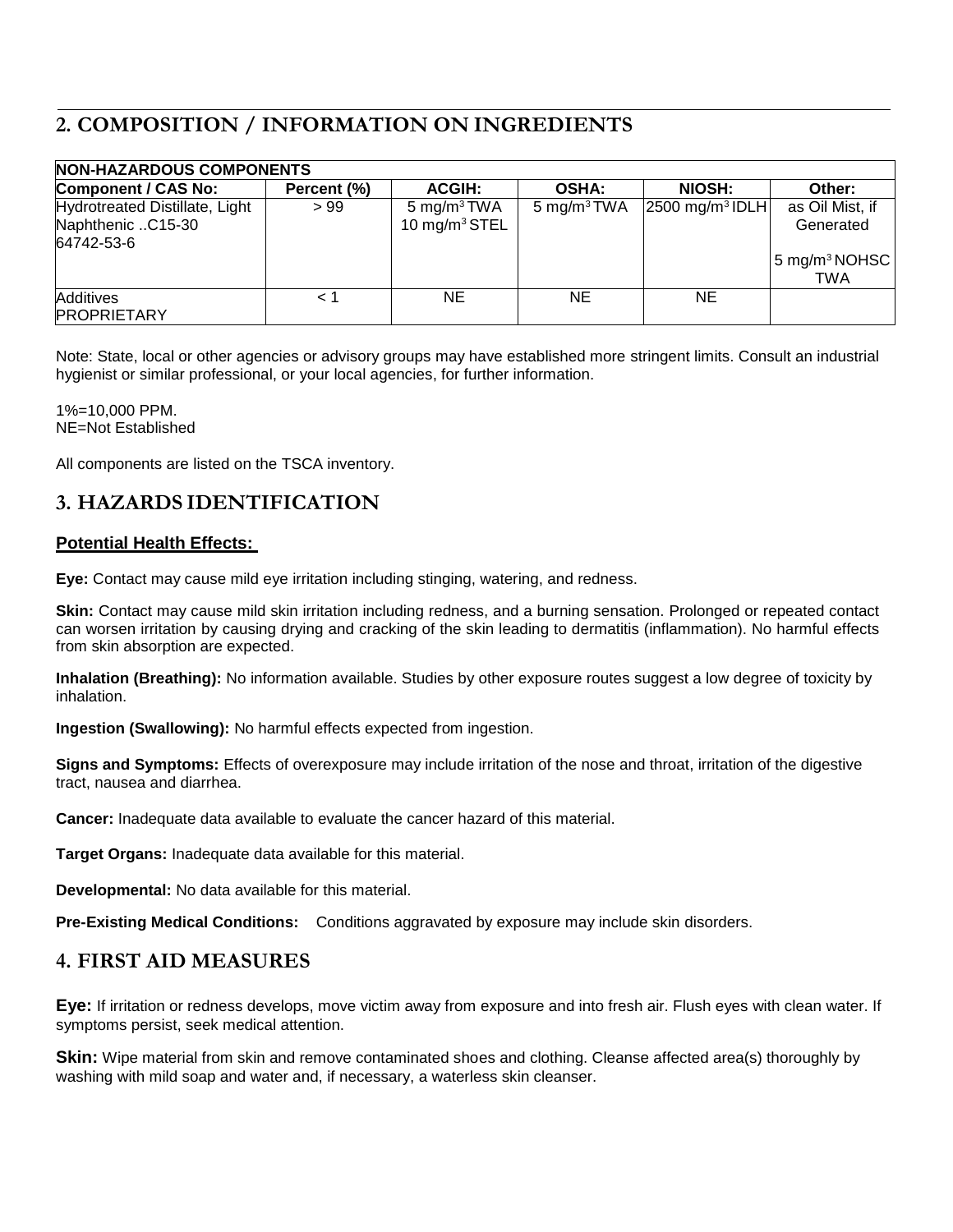# **2. COMPOSITION / INFORMATION ON INGREDIENTS**

| <b>NON-HAZARDOUS COMPONENTS</b>                                   |             |                                                      |                         |                               |                                                                         |
|-------------------------------------------------------------------|-------------|------------------------------------------------------|-------------------------|-------------------------------|-------------------------------------------------------------------------|
| Component / CAS No:                                               | Percent (%) | <b>ACGIH:</b>                                        | <b>OSHA:</b>            | <b>NIOSH:</b>                 | Other:                                                                  |
| Hydrotreated Distillate, Light<br>Naphthenic C15-30<br>64742-53-6 | >99         | 5 mg/m <sup>3</sup> TWA<br>10 mg/m <sup>3</sup> STEL | 5 mg/m <sup>3</sup> TWA | $2500$ mg/m <sup>3</sup> IDLH | as Oil Mist, if<br>Generated<br>$15 \text{ mg/m}^3 \text{NOHSC}$<br>TWA |
| Additives<br><b>PROPRIETARY</b>                                   | 1 >         | NE.                                                  | NE                      | NE.                           |                                                                         |

Note: State, local or other agencies or advisory groups may have established more stringent limits. Consult an industrial hygienist or similar professional, or your local agencies, for further information.

1%=10,000 PPM. NE=Not Established

All components are listed on the TSCA inventory.

# **3. HAZARDS IDENTIFICATION**

### **Potential Health Effects:**

**Eye:** Contact may cause mild eye irritation including stinging, watering, and redness.

**Skin:** Contact may cause mild skin irritation including redness, and a burning sensation. Prolonged or repeated contact can worsen irritation by causing drying and cracking of the skin leading to dermatitis (inflammation). No harmful effects from skin absorption are expected.

**Inhalation (Breathing):** No information available. Studies by other exposure routes suggest a low degree of toxicity by inhalation.

**Ingestion (Swallowing):** No harmful effects expected from ingestion.

**Signs and Symptoms:** Effects of overexposure may include irritation of the nose and throat, irritation of the digestive tract, nausea and diarrhea.

**Cancer:** Inadequate data available to evaluate the cancer hazard of this material.

**Target Organs:** Inadequate data available for this material.

**Developmental:** No data available for this material.

**Pre-Existing Medical Conditions:** Conditions aggravated by exposure may include skin disorders.

## **4. FIRST AID MEASURES**

**Eye:** If irritation or redness develops, move victim away from exposure and into fresh air. Flush eyes with clean water. If symptoms persist, seek medical attention.

**Skin:** Wipe material from skin and remove contaminated shoes and clothing. Cleanse affected area(s) thoroughly by washing with mild soap and water and, if necessary, a waterless skin cleanser.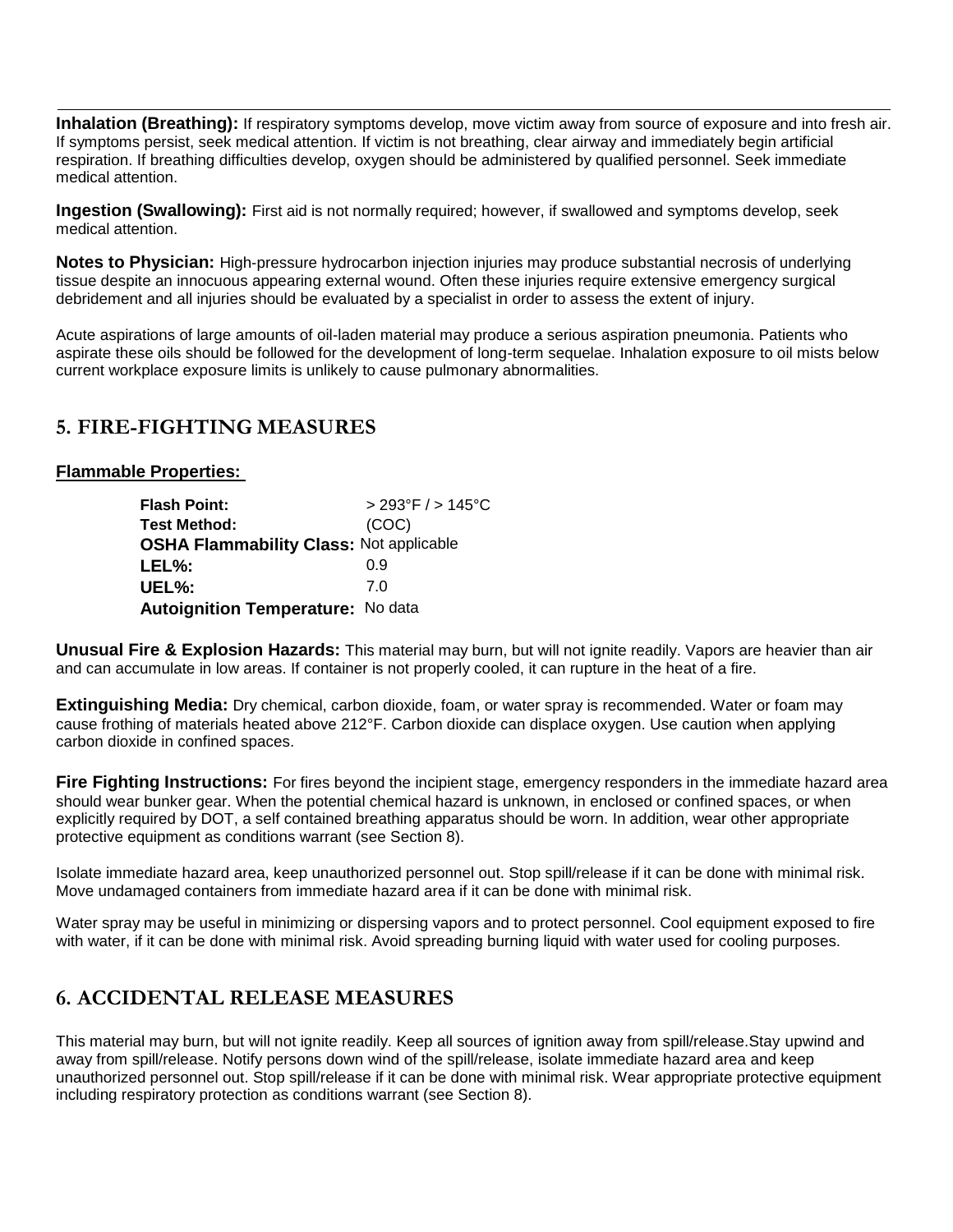**Inhalation (Breathing):** If respiratory symptoms develop, move victim away from source of exposure and into fresh air. If symptoms persist, seek medical attention. If victim is not breathing, clear airway and immediately begin artificial respiration. If breathing difficulties develop, oxygen should be administered by qualified personnel. Seek immediate medical attention.

**Ingestion (Swallowing):** First aid is not normally required; however, if swallowed and symptoms develop, seek medical attention.

**Notes to Physician:** High-pressure hydrocarbon injection injuries may produce substantial necrosis of underlying tissue despite an innocuous appearing external wound. Often these injuries require extensive emergency surgical debridement and all injuries should be evaluated by a specialist in order to assess the extent of injury.

Acute aspirations of large amounts of oil-laden material may produce a serious aspiration pneumonia. Patients who aspirate these oils should be followed for the development of long-term sequelae. Inhalation exposure to oil mists below current workplace exposure limits is unlikely to cause pulmonary abnormalities.

### **5. FIRE-FIGHTING MEASURES**

**Flammable Properties:** 

| <b>Flash Point:</b>                            | $> 293^{\circ}$ F / $> 145^{\circ}$ C |
|------------------------------------------------|---------------------------------------|
| Test Method:                                   | (COC)                                 |
| <b>OSHA Flammability Class: Not applicable</b> |                                       |
| LEL%:                                          | <u>በ ዓ</u>                            |
| UEL%:                                          | 70                                    |
| <b>Autoignition Temperature: No data</b>       |                                       |

**Unusual Fire & Explosion Hazards:** This material may burn, but will not ignite readily. Vapors are heavier than air and can accumulate in low areas. If container is not properly cooled, it can rupture in the heat of a fire.

**Extinguishing Media:** Dry chemical, carbon dioxide, foam, or water spray is recommended. Water or foam may cause frothing of materials heated above 212°F. Carbon dioxide can displace oxygen. Use caution when applying carbon dioxide in confined spaces.

**Fire Fighting Instructions:** For fires beyond the incipient stage, emergency responders in the immediate hazard area should wear bunker gear. When the potential chemical hazard is unknown, in enclosed or confined spaces, or when explicitly required by DOT, a self contained breathing apparatus should be worn. In addition, wear other appropriate protective equipment as conditions warrant (see Section 8).

Isolate immediate hazard area, keep unauthorized personnel out. Stop spill/release if it can be done with minimal risk. Move undamaged containers from immediate hazard area if it can be done with minimal risk.

Water spray may be useful in minimizing or dispersing vapors and to protect personnel. Cool equipment exposed to fire with water, if it can be done with minimal risk. Avoid spreading burning liquid with water used for cooling purposes.

# **6. ACCIDENTAL RELEASE MEASURES**

This material may burn, but will not ignite readily. Keep all sources of ignition away from spill/release.Stay upwind and away from spill/release. Notify persons down wind of the spill/release, isolate immediate hazard area and keep unauthorized personnel out. Stop spill/release if it can be done with minimal risk. Wear appropriate protective equipment including respiratory protection as conditions warrant (see Section 8).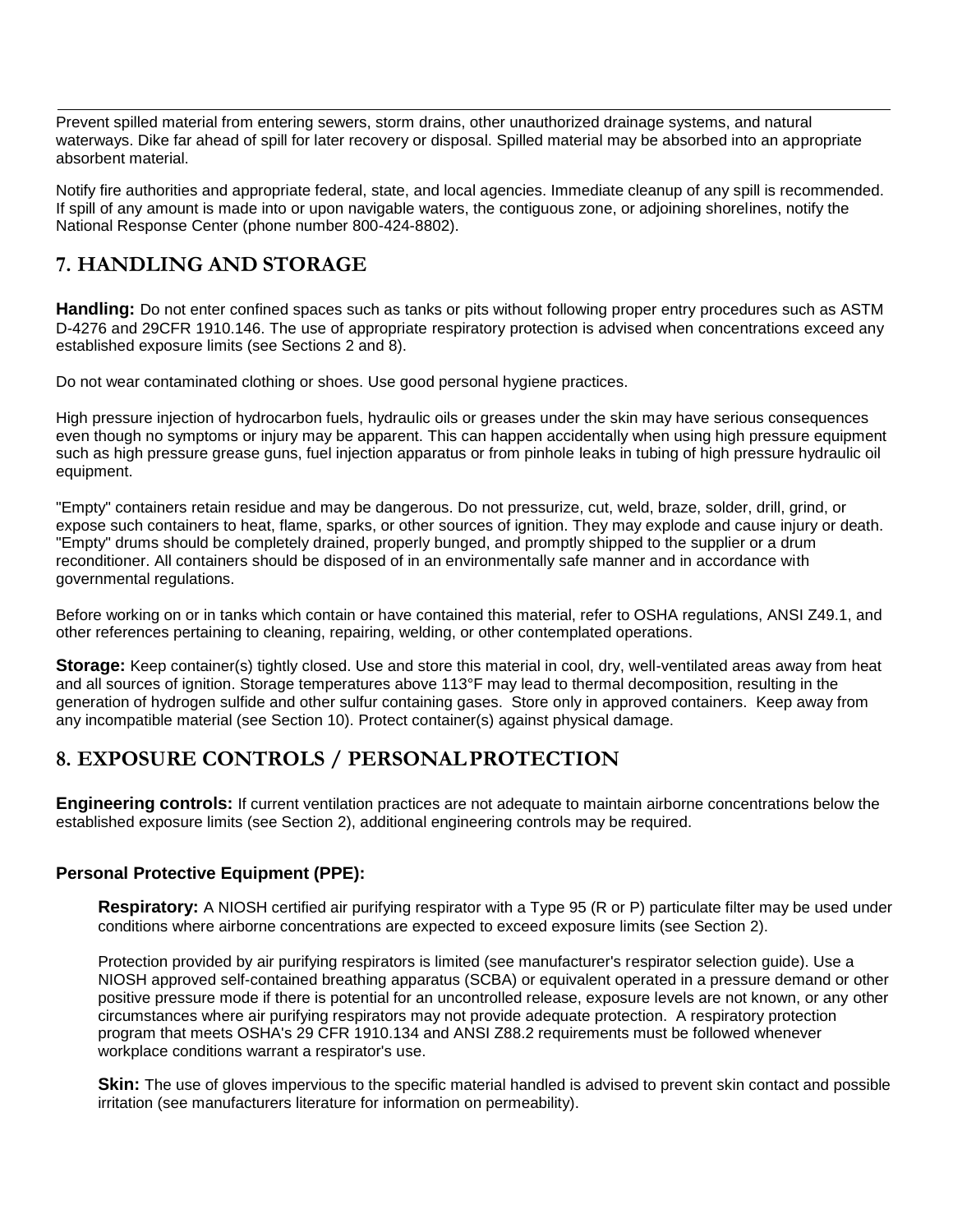Prevent spilled material from entering sewers, storm drains, other unauthorized drainage systems, and natural waterways. Dike far ahead of spill for later recovery or disposal. Spilled material may be absorbed into an appropriate absorbent material.

Notify fire authorities and appropriate federal, state, and local agencies. Immediate cleanup of any spill is recommended. If spill of any amount is made into or upon navigable waters, the contiguous zone, or adjoining shorelines, notify the National Response Center (phone number 800-424-8802).

# **7. HANDLING AND STORAGE**

**Handling:** Do not enter confined spaces such as tanks or pits without following proper entry procedures such as ASTM D-4276 and 29CFR 1910.146. The use of appropriate respiratory protection is advised when concentrations exceed any established exposure limits (see Sections 2 and 8).

Do not wear contaminated clothing or shoes. Use good personal hygiene practices.

High pressure injection of hydrocarbon fuels, hydraulic oils or greases under the skin may have serious consequences even though no symptoms or injury may be apparent. This can happen accidentally when using high pressure equipment such as high pressure grease guns, fuel injection apparatus or from pinhole leaks in tubing of high pressure hydraulic oil equipment.

"Empty" containers retain residue and may be dangerous. Do not pressurize, cut, weld, braze, solder, drill, grind, or expose such containers to heat, flame, sparks, or other sources of ignition. They may explode and cause injury or death. "Empty" drums should be completely drained, properly bunged, and promptly shipped to the supplier or a drum reconditioner. All containers should be disposed of in an environmentally safe manner and in accordance with governmental regulations.

Before working on or in tanks which contain or have contained this material, refer to OSHA regulations, ANSI Z49.1, and other references pertaining to cleaning, repairing, welding, or other contemplated operations.

**Storage:** Keep container(s) tightly closed. Use and store this material in cool, dry, well-ventilated areas away from heat and all sources of ignition. Storage temperatures above 113°F may lead to thermal decomposition, resulting in the generation of hydrogen sulfide and other sulfur containing gases. Store only in approved containers. Keep away from any incompatible material (see Section 10). Protect container(s) against physical damage.

# **8. EXPOSURE CONTROLS / PERSONALPROTECTION**

**Engineering controls:** If current ventilation practices are not adequate to maintain airborne concentrations below the established exposure limits (see Section 2), additional engineering controls may be required.

### **Personal Protective Equipment (PPE):**

**Respiratory:** A NIOSH certified air purifying respirator with a Type 95 (R or P) particulate filter may be used under conditions where airborne concentrations are expected to exceed exposure limits (see Section 2).

Protection provided by air purifying respirators is limited (see manufacturer's respirator selection guide). Use a NIOSH approved self-contained breathing apparatus (SCBA) or equivalent operated in a pressure demand or other positive pressure mode if there is potential for an uncontrolled release, exposure levels are not known, or any other circumstances where air purifying respirators may not provide adequate protection. A respiratory protection program that meets OSHA's 29 CFR 1910.134 and ANSI Z88.2 requirements must be followed whenever workplace conditions warrant a respirator's use.

**Skin:** The use of gloves impervious to the specific material handled is advised to prevent skin contact and possible irritation (see manufacturers literature for information on permeability).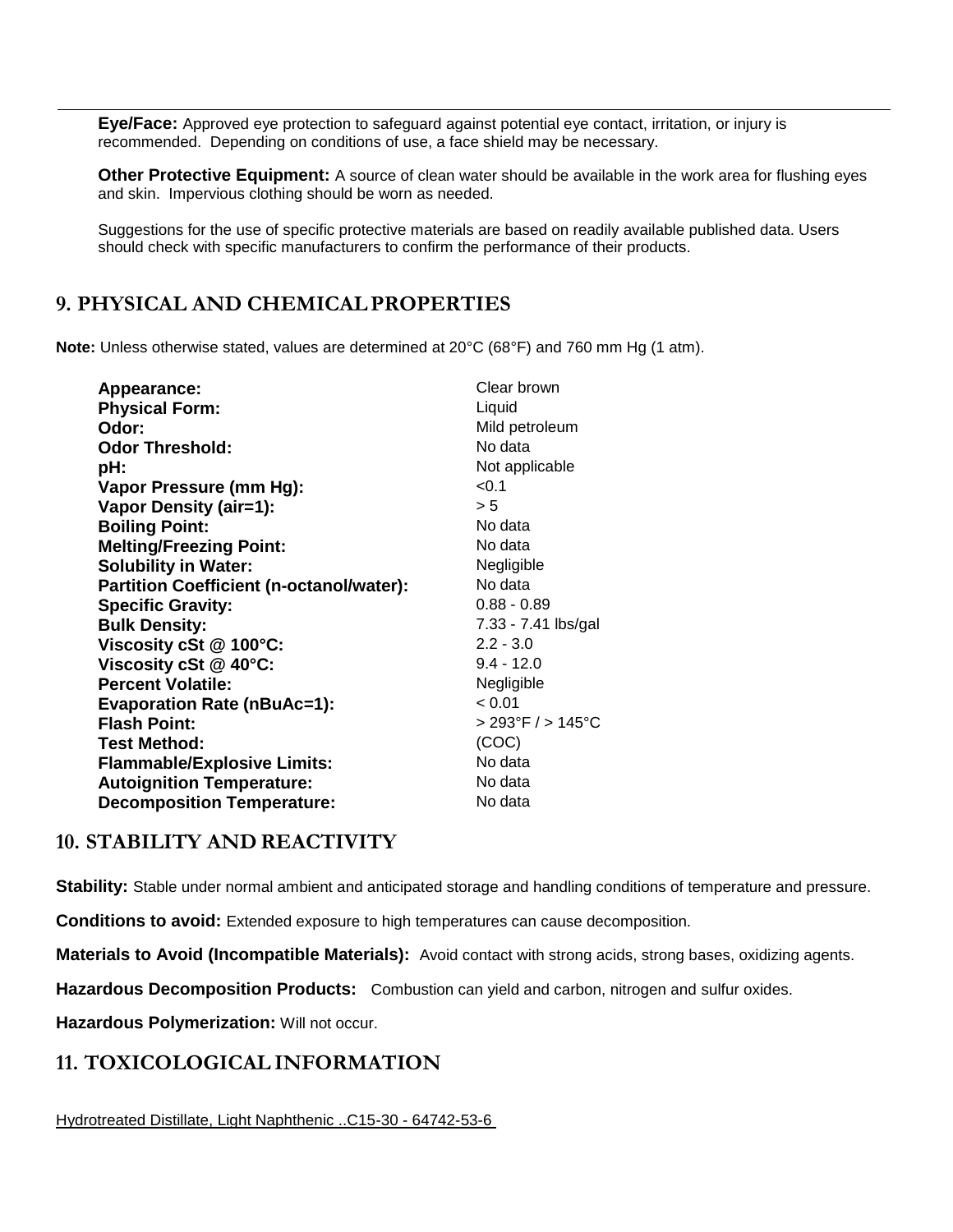**Eye/Face:** Approved eye protection to safeguard against potential eye contact, irritation, or injury is recommended. Depending on conditions of use, a face shield may be necessary.

**Other Protective Equipment:** A source of clean water should be available in the work area for flushing eyes and skin. Impervious clothing should be worn as needed.

Suggestions for the use of specific protective materials are based on readily available published data. Users should check with specific manufacturers to confirm the performance of their products.

## **9. PHYSICAL AND CHEMICALPROPERTIES**

**Note:** Unless otherwise stated, values are determined at 20°C (68°F) and 760 mm Hg (1 atm).

| Appearance:                                     | Clear brown                           |
|-------------------------------------------------|---------------------------------------|
| <b>Physical Form:</b>                           | Liquid                                |
| Odor:                                           | Mild petroleum                        |
| <b>Odor Threshold:</b>                          | No data                               |
| pH:                                             | Not applicable                        |
| Vapor Pressure (mm Hg):                         | < 0.1                                 |
| Vapor Density (air=1):                          | > 5                                   |
| <b>Boiling Point:</b>                           | No data                               |
| <b>Melting/Freezing Point:</b>                  | No data                               |
| <b>Solubility in Water:</b>                     | Negligible                            |
| <b>Partition Coefficient (n-octanol/water):</b> | No data                               |
| <b>Specific Gravity:</b>                        | $0.88 - 0.89$                         |
| <b>Bulk Density:</b>                            | 7.33 - 7.41 lbs/gal                   |
| Viscosity cSt @ 100°C:                          | $2.2 - 3.0$                           |
| Viscosity cSt @ 40°C:                           | $9.4 - 12.0$                          |
| <b>Percent Volatile:</b>                        | Negligible                            |
| <b>Evaporation Rate (nBuAc=1):</b>              | < 0.01                                |
| <b>Flash Point:</b>                             | $> 293^{\circ}$ F / $> 145^{\circ}$ C |
| <b>Test Method:</b>                             | (COC)                                 |
| <b>Flammable/Explosive Limits:</b>              | No data                               |
| <b>Autoignition Temperature:</b>                | No data                               |
| <b>Decomposition Temperature:</b>               | No data                               |

### **10. STABILITY AND REACTIVITY**

**Stability:** Stable under normal ambient and anticipated storage and handling conditions of temperature and pressure.

**Conditions to avoid:** Extended exposure to high temperatures can cause decomposition.

**Materials to Avoid (Incompatible Materials):** Avoid contact with strong acids, strong bases, oxidizing agents.

**Hazardous Decomposition Products:** Combustion can yield and carbon, nitrogen and sulfur oxides.

**Hazardous Polymerization:** Will not occur.

### **11. TOXICOLOGICAL INFORMATION**

Hydrotreated Distillate, Light Naphthenic ..C15-30 - 64742-53-6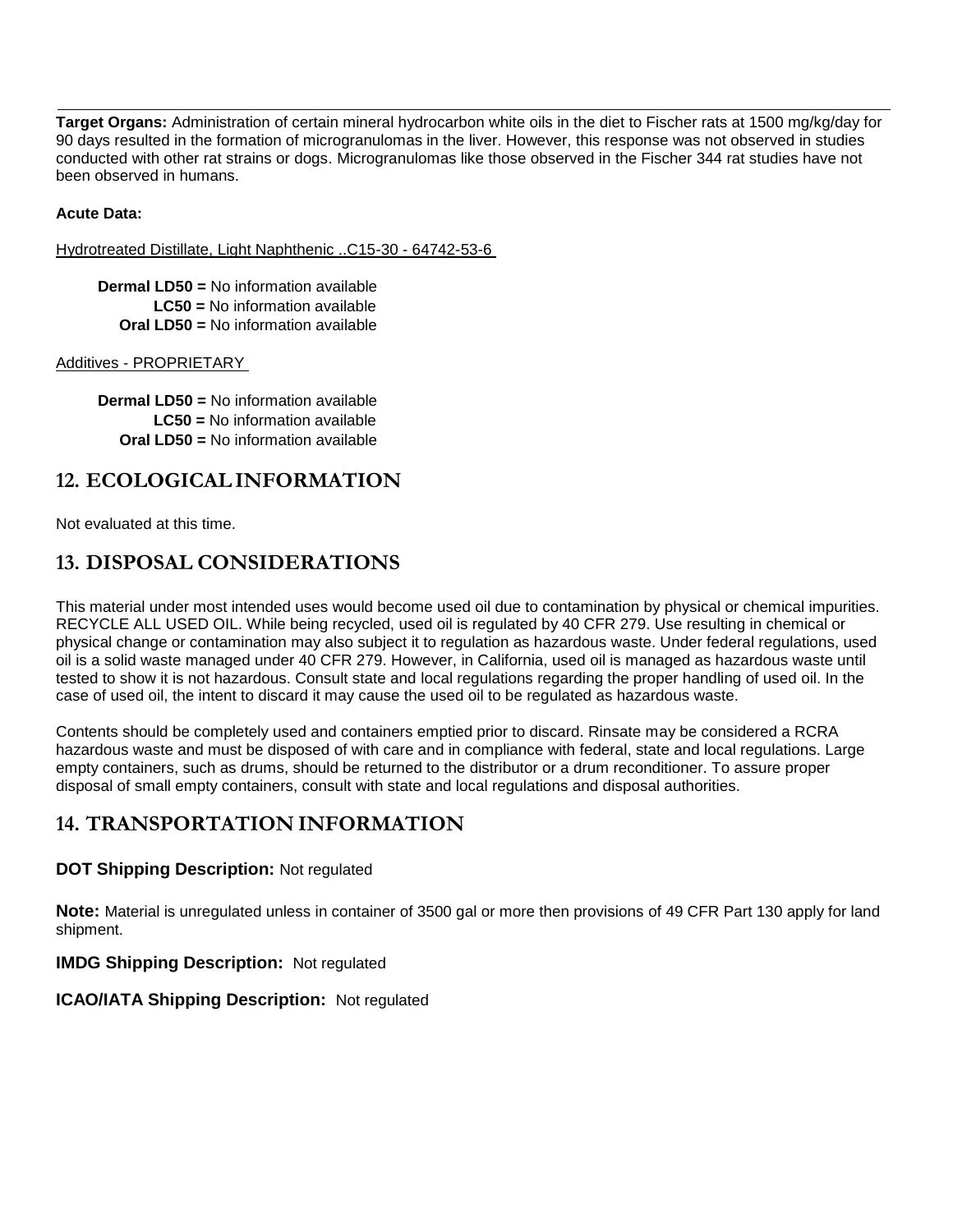**Target Organs:** Administration of certain mineral hydrocarbon white oils in the diet to Fischer rats at 1500 mg/kg/day for 90 days resulted in the formation of microgranulomas in the liver. However, this response was not observed in studies conducted with other rat strains or dogs. Microgranulomas like those observed in the Fischer 344 rat studies have not been observed in humans.

### **Acute Data:**

Hydrotreated Distillate, Light Naphthenic ..C15-30 - 64742-53-6

**Dermal LD50 =** No information available **LC50 =** No information available **Oral LD50 =** No information available

#### Additives - PROPRIETARY

**Dermal LD50 =** No information available **LC50 =** No information available **Oral LD50 =** No information available

### **12. ECOLOGICALINFORMATION**

Not evaluated at this time.

## **13. DISPOSAL CONSIDERATIONS**

This material under most intended uses would become used oil due to contamination by physical or chemical impurities. RECYCLE ALL USED OIL. While being recycled, used oil is regulated by 40 CFR 279. Use resulting in chemical or physical change or contamination may also subject it to regulation as hazardous waste. Under federal regulations, used oil is a solid waste managed under 40 CFR 279. However, in California, used oil is managed as hazardous waste until tested to show it is not hazardous. Consult state and local regulations regarding the proper handling of used oil. In the case of used oil, the intent to discard it may cause the used oil to be regulated as hazardous waste.

Contents should be completely used and containers emptied prior to discard. Rinsate may be considered a RCRA hazardous waste and must be disposed of with care and in compliance with federal, state and local regulations. Large empty containers, such as drums, should be returned to the distributor or a drum reconditioner. To assure proper disposal of small empty containers, consult with state and local regulations and disposal authorities.

## **14. TRANSPORTATION INFORMATION**

#### **DOT Shipping Description:** Not regulated

**Note:** Material is unregulated unless in container of 3500 gal or more then provisions of 49 CFR Part 130 apply for land shipment.

#### **IMDG Shipping Description:** Not regulated

#### **ICAO/IATA Shipping Description:** Not regulated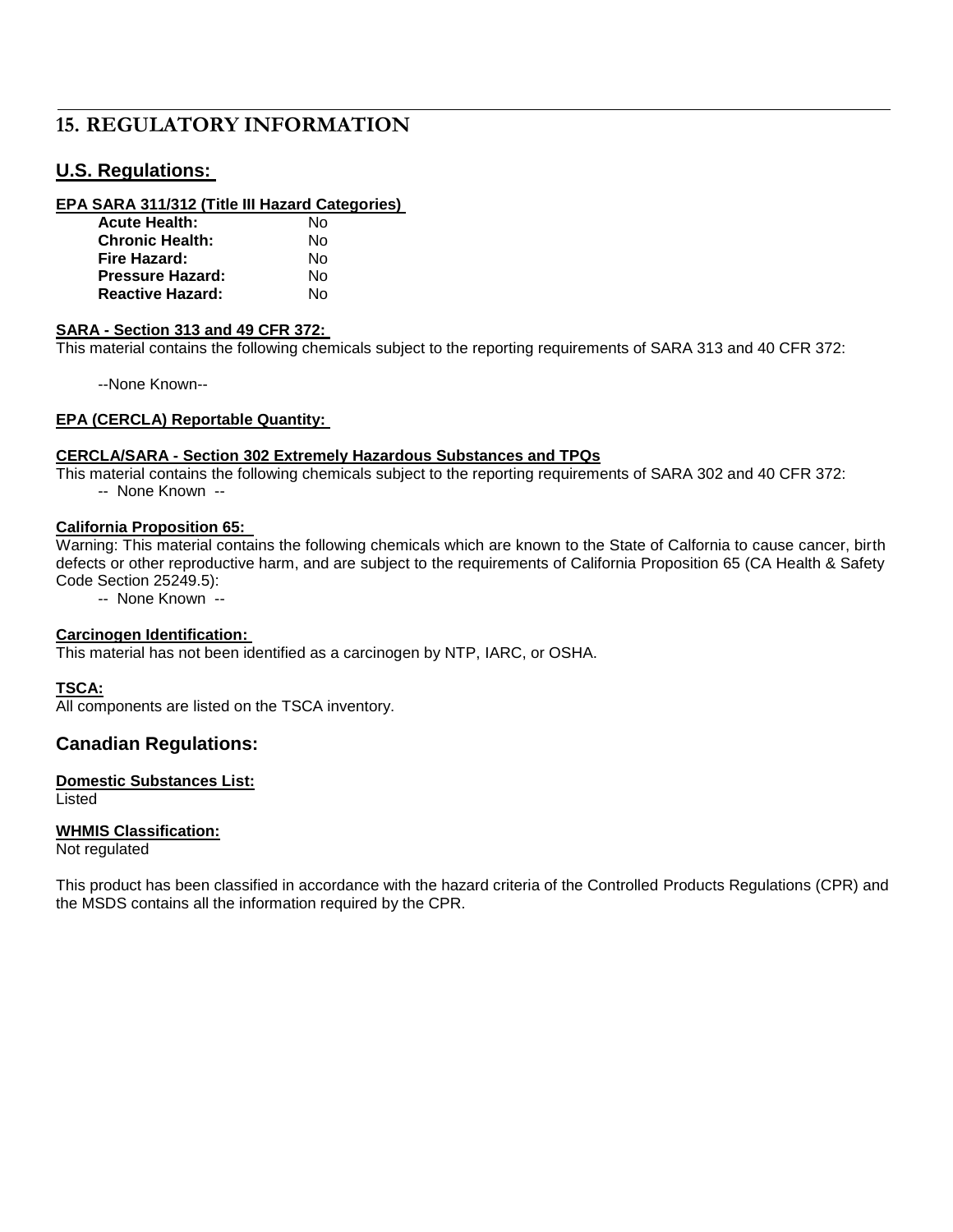# **15. REGULATORY INFORMATION**

### **U.S. Regulations:**

#### **EPA SARA 311/312 (Title III Hazard Categories)**

| <b>Acute Health:</b>    | N٥ |
|-------------------------|----|
| <b>Chronic Health:</b>  | N٥ |
| Fire Hazard:            | N٥ |
| Pressure Hazard:        | N٥ |
| <b>Reactive Hazard:</b> | N٥ |

#### **SARA - Section 313 and 49 CFR 372:**

This material contains the following chemicals subject to the reporting requirements of SARA 313 and 40 CFR 372:

--None Known--

#### **EPA (CERCLA) Reportable Quantity:**

#### **CERCLA/SARA - Section 302 Extremely Hazardous Substances and TPQs**

This material contains the following chemicals subject to the reporting requirements of SARA 302 and 40 CFR 372:

-- None Known --

#### **California Proposition 65:**

Warning: This material contains the following chemicals which are known to the State of Calfornia to cause cancer, birth defects or other reproductive harm, and are subject to the requirements of California Proposition 65 (CA Health & Safety Code Section 25249.5):

-- None Known --

#### **Carcinogen Identification:**

This material has not been identified as a carcinogen by NTP, IARC, or OSHA.

#### **TSCA:**

All components are listed on the TSCA inventory.

#### **Canadian Regulations:**

#### **Domestic Substances List:**

Listed

#### **WHMIS Classification:**

Not regulated

This product has been classified in accordance with the hazard criteria of the Controlled Products Regulations (CPR) and the MSDS contains all the information required by the CPR.